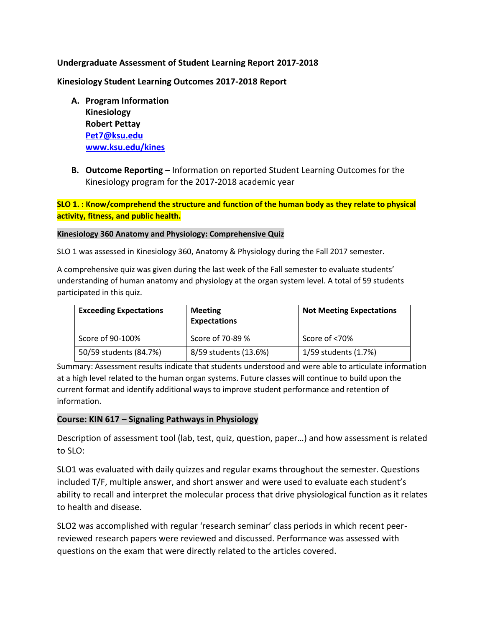### **Undergraduate Assessment of Student Learning Report 2017-2018**

**Kinesiology Student Learning Outcomes 2017-2018 Report**

- **A. Program Information Kinesiology Robert Pettay Pet7@ksu.edu www.ksu.edu/kines**
- **B. Outcome Reporting –** Information on reported Student Learning Outcomes for the Kinesiology program for the 2017-2018 academic year

**SLO 1. : Know/comprehend the structure and function of the human body as they relate to physical activity, fitness, and public health.**

#### **Kinesiology 360 Anatomy and Physiology: Comprehensive Quiz**

SLO 1 was assessed in Kinesiology 360, Anatomy & Physiology during the Fall 2017 semester.

A comprehensive quiz was given during the last week of the Fall semester to evaluate students' understanding of human anatomy and physiology at the organ system level. A total of 59 students participated in this quiz.

| <b>Exceeding Expectations</b> | <b>Meeting</b><br><b>Expectations</b> | <b>Not Meeting Expectations</b> |
|-------------------------------|---------------------------------------|---------------------------------|
| Score of 90-100%              | Score of 70-89 %                      | Score of <70%                   |
| 50/59 students (84.7%)        | 8/59 students (13.6%)                 | 1/59 students (1.7%)            |

Summary: Assessment results indicate that students understood and were able to articulate information at a high level related to the human organ systems. Future classes will continue to build upon the current format and identify additional ways to improve student performance and retention of information.

### **Course: KIN 617 – Signaling Pathways in Physiology**

Description of assessment tool (lab, test, quiz, question, paper…) and how assessment is related to SLO:

SLO1 was evaluated with daily quizzes and regular exams throughout the semester. Questions included T/F, multiple answer, and short answer and were used to evaluate each student's ability to recall and interpret the molecular process that drive physiological function as it relates to health and disease.

SLO2 was accomplished with regular 'research seminar' class periods in which recent peerreviewed research papers were reviewed and discussed. Performance was assessed with questions on the exam that were directly related to the articles covered.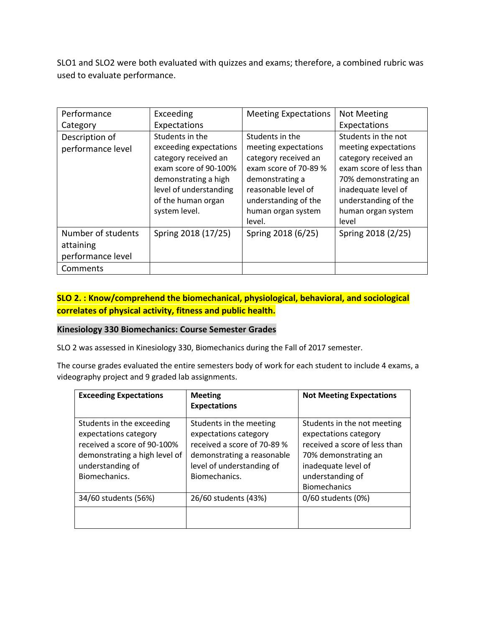SLO1 and SLO2 were both evaluated with quizzes and exams; therefore, a combined rubric was used to evaluate performance.

| Performance        | Exceeding              | <b>Meeting Expectations</b> | <b>Not Meeting</b>      |
|--------------------|------------------------|-----------------------------|-------------------------|
|                    |                        |                             |                         |
| Category           | Expectations           |                             | Expectations            |
| Description of     | Students in the        | Students in the             | Students in the not     |
| performance level  | exceeding expectations | meeting expectations        | meeting expectations    |
|                    | category received an   | category received an        | category received an    |
|                    | exam score of 90-100%  | exam score of 70-89 %       | exam score of less than |
|                    | demonstrating a high   | demonstrating a             | 70% demonstrating an    |
|                    | level of understanding | reasonable level of         | inadequate level of     |
|                    | of the human organ     | understanding of the        | understanding of the    |
|                    | system level.          | human organ system          | human organ system      |
|                    |                        | level.                      | level                   |
| Number of students | Spring 2018 (17/25)    | Spring 2018 (6/25)          | Spring 2018 (2/25)      |
| attaining          |                        |                             |                         |
| performance level  |                        |                             |                         |
| Comments           |                        |                             |                         |

## **SLO 2. : Know/comprehend the biomechanical, physiological, behavioral, and sociological correlates of physical activity, fitness and public health.**

### **Kinesiology 330 Biomechanics: Course Semester Grades**

SLO 2 was assessed in Kinesiology 330, Biomechanics during the Fall of 2017 semester.

The course grades evaluated the entire semesters body of work for each student to include 4 exams, a videography project and 9 graded lab assignments.

| <b>Exceeding Expectations</b>                                                                                                                           | <b>Meeting</b><br><b>Expectations</b>                                                                                                                       | <b>Not Meeting Expectations</b>                                                                                                                                                 |
|---------------------------------------------------------------------------------------------------------------------------------------------------------|-------------------------------------------------------------------------------------------------------------------------------------------------------------|---------------------------------------------------------------------------------------------------------------------------------------------------------------------------------|
| Students in the exceeding<br>expectations category<br>received a score of 90-100%<br>demonstrating a high level of<br>understanding of<br>Biomechanics. | Students in the meeting<br>expectations category<br>received a score of 70-89 %<br>demonstrating a reasonable<br>level of understanding of<br>Biomechanics. | Students in the not meeting<br>expectations category<br>received a score of less than<br>70% demonstrating an<br>inadequate level of<br>understanding of<br><b>Biomechanics</b> |
| 34/60 students (56%)                                                                                                                                    | 26/60 students (43%)                                                                                                                                        | 0/60 students (0%)                                                                                                                                                              |
|                                                                                                                                                         |                                                                                                                                                             |                                                                                                                                                                                 |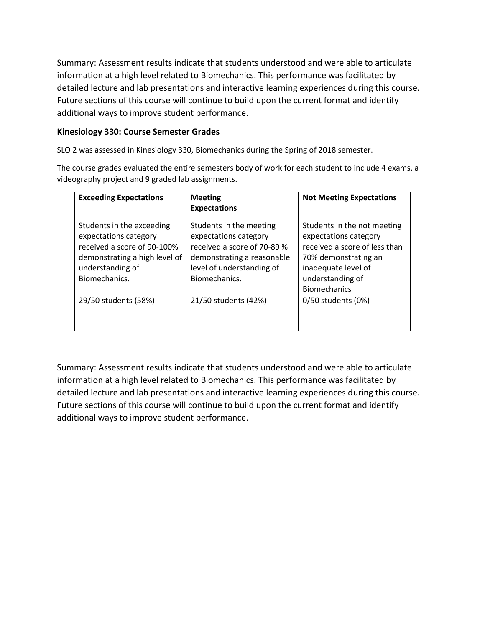Summary: Assessment results indicate that students understood and were able to articulate information at a high level related to Biomechanics. This performance was facilitated by detailed lecture and lab presentations and interactive learning experiences during this course. Future sections of this course will continue to build upon the current format and identify additional ways to improve student performance.

### **Kinesiology 330: Course Semester Grades**

SLO 2 was assessed in Kinesiology 330, Biomechanics during the Spring of 2018 semester.

The course grades evaluated the entire semesters body of work for each student to include 4 exams, a videography project and 9 graded lab assignments.

| <b>Exceeding Expectations</b>                                                                                                                           | <b>Meeting</b><br><b>Expectations</b>                                                                                                                       | <b>Not Meeting Expectations</b>                                                                                                                                                 |
|---------------------------------------------------------------------------------------------------------------------------------------------------------|-------------------------------------------------------------------------------------------------------------------------------------------------------------|---------------------------------------------------------------------------------------------------------------------------------------------------------------------------------|
| Students in the exceeding<br>expectations category<br>received a score of 90-100%<br>demonstrating a high level of<br>understanding of<br>Biomechanics. | Students in the meeting<br>expectations category<br>received a score of 70-89 %<br>demonstrating a reasonable<br>level of understanding of<br>Biomechanics. | Students in the not meeting<br>expectations category<br>received a score of less than<br>70% demonstrating an<br>inadequate level of<br>understanding of<br><b>Biomechanics</b> |
| 29/50 students (58%)                                                                                                                                    | 21/50 students (42%)                                                                                                                                        | 0/50 students (0%)                                                                                                                                                              |
|                                                                                                                                                         |                                                                                                                                                             |                                                                                                                                                                                 |

Summary: Assessment results indicate that students understood and were able to articulate information at a high level related to Biomechanics. This performance was facilitated by detailed lecture and lab presentations and interactive learning experiences during this course. Future sections of this course will continue to build upon the current format and identify additional ways to improve student performance.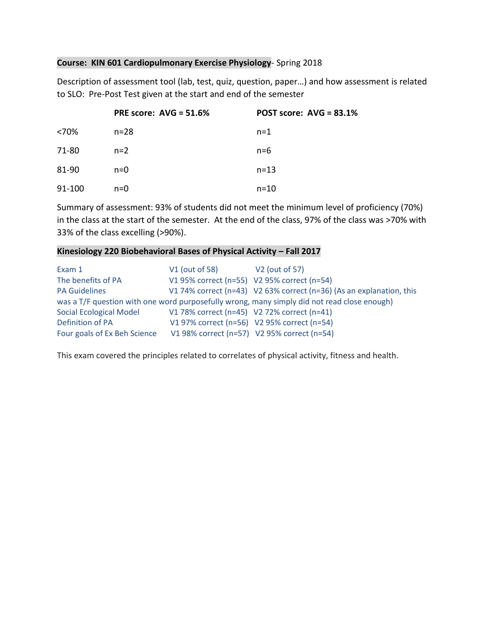### **Course: KIN 601 Cardiopulmonary Exercise Physiology**- Spring 2018

Description of assessment tool (lab, test, quiz, question, paper…) and how assessment is related to SLO: Pre-Post Test given at the start and end of the semester

|        | <b>PRE score: AVG = 51.6%</b> | POST score: $AVG = 83.1\%$ |
|--------|-------------------------------|----------------------------|
| <70%   | $n = 28$                      | $n=1$                      |
| 71-80  | $n=2$                         | $n=6$                      |
| 81-90  | $n=0$                         | $n = 13$                   |
| 91-100 | $n=0$                         | $n = 10$                   |

Summary of assessment: 93% of students did not meet the minimum level of proficiency (70%) in the class at the start of the semester. At the end of the class, 97% of the class was >70% with 33% of the class excelling (>90%).

#### **Kinesiology 220 Biobehavioral Bases of Physical Activity – Fall 2017**

| Exam 1                         | V1 (out of 58)                              | V2 (out of 57)                                                                              |
|--------------------------------|---------------------------------------------|---------------------------------------------------------------------------------------------|
| The benefits of PA             | V1 95% correct (n=55) V2 95% correct (n=54) |                                                                                             |
| <b>PA Guidelines</b>           |                                             | V1 74% correct (n=43) V2 63% correct (n=36) (As an explanation, this                        |
|                                |                                             | was a T/F question with one word purposefully wrong, many simply did not read close enough) |
| <b>Social Ecological Model</b> | V1 78% correct (n=45) V2 72% correct (n=41) |                                                                                             |
| Definition of PA               |                                             | V1 97% correct (n=56) V2 95% correct (n=54)                                                 |
| Four goals of Ex Beh Science   |                                             | V1 98% correct (n=57) V2 95% correct (n=54)                                                 |

This exam covered the principles related to correlates of physical activity, fitness and health.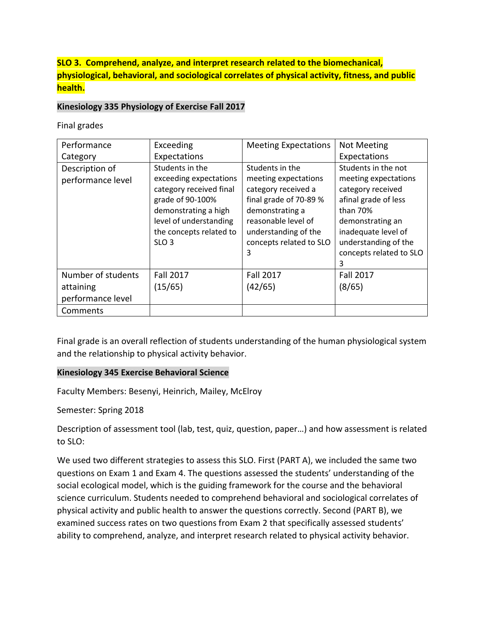## **SLO 3. Comprehend, analyze, and interpret research related to the biomechanical, physiological, behavioral, and sociological correlates of physical activity, fitness, and public health.**

### **Kinesiology 335 Physiology of Exercise Fall 2017**

Final grades

| Performance                                                      | Exceeding                                                                                                                                                                                 | <b>Meeting Expectations</b>                                                                                                                                                                | <b>Not Meeting</b>                                                                                                                                                                                      |
|------------------------------------------------------------------|-------------------------------------------------------------------------------------------------------------------------------------------------------------------------------------------|--------------------------------------------------------------------------------------------------------------------------------------------------------------------------------------------|---------------------------------------------------------------------------------------------------------------------------------------------------------------------------------------------------------|
| Category                                                         | Expectations                                                                                                                                                                              |                                                                                                                                                                                            | Expectations                                                                                                                                                                                            |
| Description of<br>performance level                              | Students in the<br>exceeding expectations<br>category received final<br>grade of 90-100%<br>demonstrating a high<br>level of understanding<br>the concepts related to<br>SLO <sub>3</sub> | Students in the<br>meeting expectations<br>category received a<br>final grade of 70-89 %<br>demonstrating a<br>reasonable level of<br>understanding of the<br>concepts related to SLO<br>3 | Students in the not<br>meeting expectations<br>category received<br>afinal grade of less<br>than 70%<br>demonstrating an<br>inadequate level of<br>understanding of the<br>concepts related to SLO<br>3 |
| Number of students<br>attaining<br>performance level<br>Comments | <b>Fall 2017</b><br>(15/65)                                                                                                                                                               | <b>Fall 2017</b><br>(42/65)                                                                                                                                                                | <b>Fall 2017</b><br>(8/65)                                                                                                                                                                              |

Final grade is an overall reflection of students understanding of the human physiological system and the relationship to physical activity behavior.

### **Kinesiology 345 Exercise Behavioral Science**

Faculty Members: Besenyi, Heinrich, Mailey, McElroy

Semester: Spring 2018

Description of assessment tool (lab, test, quiz, question, paper…) and how assessment is related to SLO:

We used two different strategies to assess this SLO. First (PART A), we included the same two questions on Exam 1 and Exam 4. The questions assessed the students' understanding of the social ecological model, which is the guiding framework for the course and the behavioral science curriculum. Students needed to comprehend behavioral and sociological correlates of physical activity and public health to answer the questions correctly. Second (PART B), we examined success rates on two questions from Exam 2 that specifically assessed students' ability to comprehend, analyze, and interpret research related to physical activity behavior.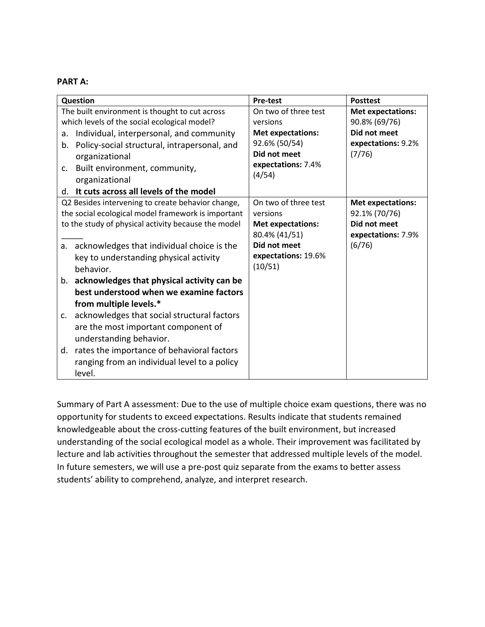#### **PART A:**

| Question                                                                                                                                                                                                                                                                                                                                                                                                                                                                                                                                                                                                                             | <b>Pre-test</b>                                                                                                                 | <b>Posttest</b>                                                                           |
|--------------------------------------------------------------------------------------------------------------------------------------------------------------------------------------------------------------------------------------------------------------------------------------------------------------------------------------------------------------------------------------------------------------------------------------------------------------------------------------------------------------------------------------------------------------------------------------------------------------------------------------|---------------------------------------------------------------------------------------------------------------------------------|-------------------------------------------------------------------------------------------|
| The built environment is thought to cut across<br>which levels of the social ecological model?                                                                                                                                                                                                                                                                                                                                                                                                                                                                                                                                       | On two of three test<br>versions                                                                                                | <b>Met expectations:</b><br>90.8% (69/76)                                                 |
| Individual, interpersonal, and community<br>a.<br>Policy-social structural, intrapersonal, and<br>b.<br>organizational<br>Built environment, community,<br>c.<br>organizational<br>It cuts across all levels of the model<br>d.                                                                                                                                                                                                                                                                                                                                                                                                      | <b>Met expectations:</b><br>92.6% (50/54)<br>Did not meet<br>expectations: 7.4%<br>(4/54)                                       | Did not meet<br>expectations: 9.2%<br>(7/76)                                              |
| Q2 Besides intervening to create behavior change,<br>the social ecological model framework is important<br>to the study of physical activity because the model<br>a. acknowledges that individual choice is the<br>key to understanding physical activity<br>behavior.<br>acknowledges that physical activity can be<br>b.<br>best understood when we examine factors<br>from multiple levels.*<br>acknowledges that social structural factors<br>C.<br>are the most important component of<br>understanding behavior.<br>rates the importance of behavioral factors<br>d.<br>ranging from an individual level to a policy<br>level. | On two of three test<br>versions<br><b>Met expectations:</b><br>80.4% (41/51)<br>Did not meet<br>expectations: 19.6%<br>(10/51) | <b>Met expectations:</b><br>92.1% (70/76)<br>Did not meet<br>expectations: 7.9%<br>(6/76) |

Summary of Part A assessment: Due to the use of multiple choice exam questions, there was no opportunity for students to exceed expectations. Results indicate that students remained knowledgeable about the cross-cutting features of the built environment, but increased understanding of the social ecological model as a whole. Their improvement was facilitated by lecture and lab activities throughout the semester that addressed multiple levels of the model. In future semesters, we will use a pre-post quiz separate from the exams to better assess students' ability to comprehend, analyze, and interpret research.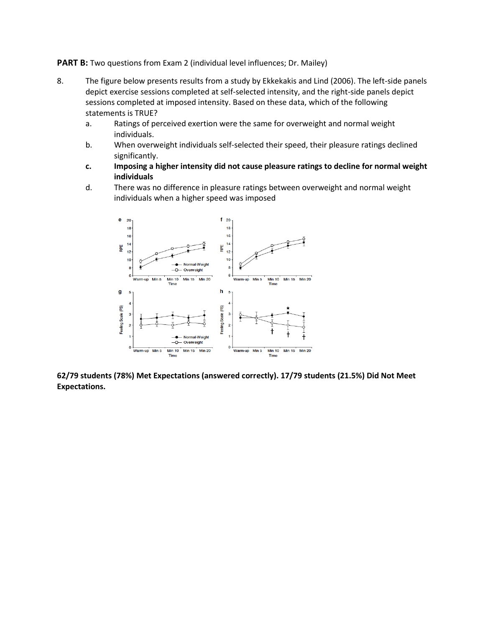**PART B:** Two questions from Exam 2 (individual level influences; Dr. Mailey)

- 8. The figure below presents results from a study by Ekkekakis and Lind (2006). The left-side panels depict exercise sessions completed at self-selected intensity, and the right-side panels depict sessions completed at imposed intensity. Based on these data, which of the following statements is TRUE?
	- a. Ratings of perceived exertion were the same for overweight and normal weight individuals.
	- b. When overweight individuals self-selected their speed, their pleasure ratings declined significantly.
	- **c. Imposing a higher intensity did not cause pleasure ratings to decline for normal weight individuals**
	- d. There was no difference in pleasure ratings between overweight and normal weight individuals when a higher speed was imposed



**62/79 students (78%) Met Expectations (answered correctly). 17/79 students (21.5%) Did Not Meet Expectations.**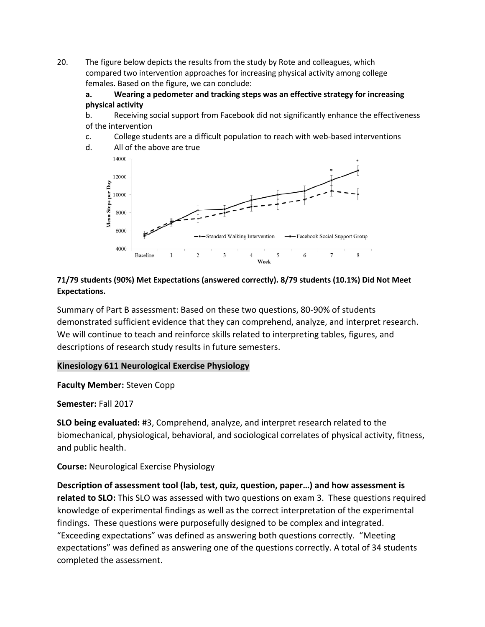20. The figure below depicts the results from the study by Rote and colleagues, which compared two intervention approaches for increasing physical activity among college females. Based on the figure, we can conclude:

### **a. Wearing a pedometer and tracking steps was an effective strategy for increasing physical activity**

b. Receiving social support from Facebook did not significantly enhance the effectiveness of the intervention

c. College students are a difficult population to reach with web-based interventions



## **71/79 students (90%) Met Expectations (answered correctly). 8/79 students (10.1%) Did Not Meet Expectations.**

Summary of Part B assessment: Based on these two questions, 80-90% of students demonstrated sufficient evidence that they can comprehend, analyze, and interpret research. We will continue to teach and reinforce skills related to interpreting tables, figures, and descriptions of research study results in future semesters.

## **Kinesiology 611 Neurological Exercise Physiology**

**Faculty Member:** Steven Copp

**Semester:** Fall 2017

**SLO being evaluated:** #3, Comprehend, analyze, and interpret research related to the biomechanical, physiological, behavioral, and sociological correlates of physical activity, fitness, and public health.

**Course:** Neurological Exercise Physiology

**Description of assessment tool (lab, test, quiz, question, paper…) and how assessment is related to SLO:** This SLO was assessed with two questions on exam 3. These questions required knowledge of experimental findings as well as the correct interpretation of the experimental findings. These questions were purposefully designed to be complex and integrated. "Exceeding expectations" was defined as answering both questions correctly. "Meeting expectations" was defined as answering one of the questions correctly. A total of 34 students completed the assessment.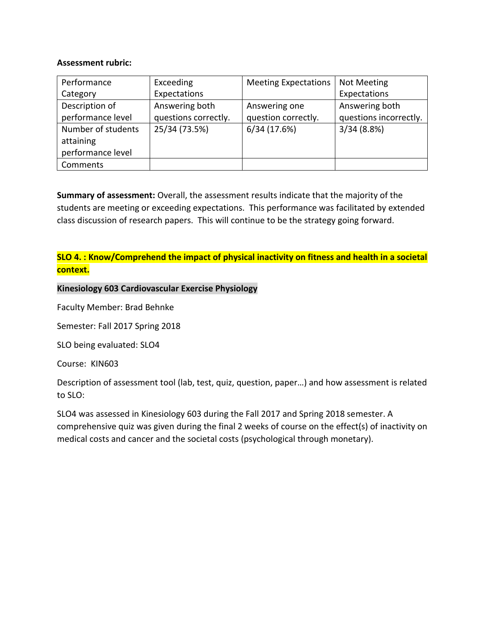### **Assessment rubric:**

| Performance        | Exceeding            | <b>Meeting Expectations</b> | <b>Not Meeting</b>     |
|--------------------|----------------------|-----------------------------|------------------------|
| Category           | Expectations         |                             | Expectations           |
| Description of     | Answering both       | Answering one               | Answering both         |
| performance level  | questions correctly. | question correctly.         | questions incorrectly. |
| Number of students | 25/34 (73.5%)        | 6/34(17.6%)                 | 3/34(8.8%)             |
| attaining          |                      |                             |                        |
| performance level  |                      |                             |                        |
| Comments           |                      |                             |                        |

**Summary of assessment:** Overall, the assessment results indicate that the majority of the students are meeting or exceeding expectations. This performance was facilitated by extended class discussion of research papers. This will continue to be the strategy going forward.

## **SLO 4. : Know/Comprehend the impact of physical inactivity on fitness and health in a societal context.**

### **Kinesiology 603 Cardiovascular Exercise Physiology**

Faculty Member: Brad Behnke

Semester: Fall 2017 Spring 2018

SLO being evaluated: SLO4

Course: KIN603

Description of assessment tool (lab, test, quiz, question, paper…) and how assessment is related to SLO:

SLO4 was assessed in Kinesiology 603 during the Fall 2017 and Spring 2018 semester. A comprehensive quiz was given during the final 2 weeks of course on the effect(s) of inactivity on medical costs and cancer and the societal costs (psychological through monetary).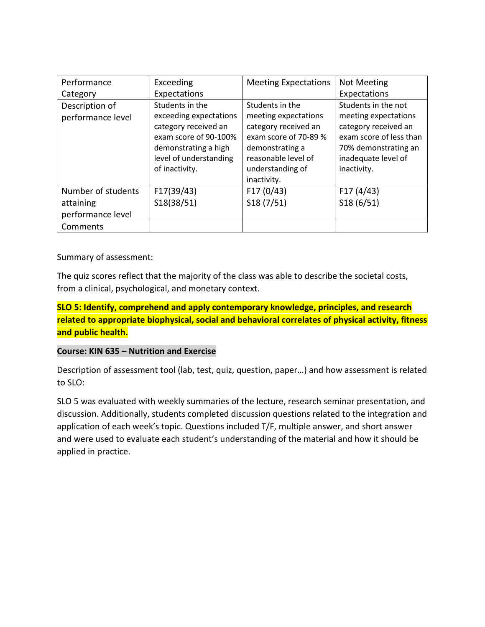| Performance                         | Exceeding                                                                                                                                    | <b>Meeting Expectations</b>                                                                                                        | <b>Not Meeting</b>                                                                                                                            |
|-------------------------------------|----------------------------------------------------------------------------------------------------------------------------------------------|------------------------------------------------------------------------------------------------------------------------------------|-----------------------------------------------------------------------------------------------------------------------------------------------|
| Category                            | Expectations                                                                                                                                 |                                                                                                                                    | Expectations                                                                                                                                  |
| Description of<br>performance level | Students in the<br>exceeding expectations<br>category received an<br>exam score of 90-100%<br>demonstrating a high<br>level of understanding | Students in the<br>meeting expectations<br>category received an<br>exam score of 70-89 %<br>demonstrating a<br>reasonable level of | Students in the not<br>meeting expectations<br>category received an<br>exam score of less than<br>70% demonstrating an<br>inadequate level of |
|                                     | of inactivity.                                                                                                                               | understanding of<br>inactivity.                                                                                                    | inactivity.                                                                                                                                   |
| Number of students                  | F17(39/43)                                                                                                                                   | F17(0/43)                                                                                                                          | F17(4/43)                                                                                                                                     |
| attaining                           | S18(38/51)                                                                                                                                   | S18(7/51)                                                                                                                          | S18(6/51)                                                                                                                                     |
| performance level                   |                                                                                                                                              |                                                                                                                                    |                                                                                                                                               |
| Comments                            |                                                                                                                                              |                                                                                                                                    |                                                                                                                                               |

Summary of assessment:

The quiz scores reflect that the majority of the class was able to describe the societal costs, from a clinical, psychological, and monetary context.

## **SLO 5: Identify, comprehend and apply contemporary knowledge, principles, and research related to appropriate biophysical, social and behavioral correlates of physical activity, fitness and public health.**

## **Course: KIN 635 – Nutrition and Exercise**

Description of assessment tool (lab, test, quiz, question, paper…) and how assessment is related to SLO:

SLO 5 was evaluated with weekly summaries of the lecture, research seminar presentation, and discussion. Additionally, students completed discussion questions related to the integration and application of each week's topic. Questions included T/F, multiple answer, and short answer and were used to evaluate each student's understanding of the material and how it should be applied in practice.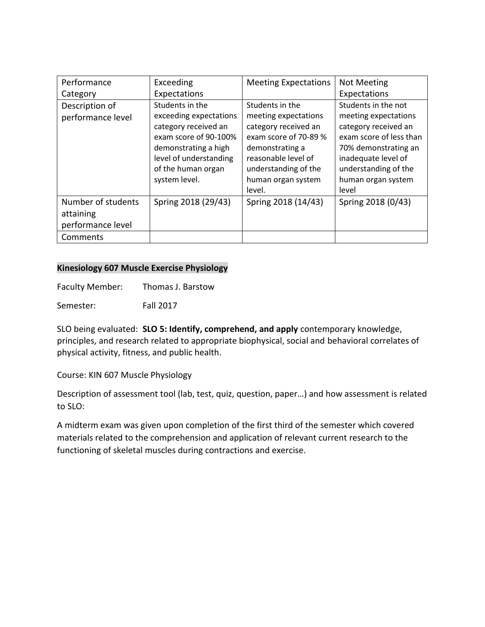| Performance        | Exceeding              | <b>Meeting Expectations</b> | <b>Not Meeting</b>      |
|--------------------|------------------------|-----------------------------|-------------------------|
| Category           | Expectations           |                             | Expectations            |
| Description of     | Students in the        | Students in the             | Students in the not     |
| performance level  | exceeding expectations | meeting expectations        | meeting expectations    |
|                    | category received an   | category received an        | category received an    |
|                    | exam score of 90-100%  | exam score of 70-89 %       | exam score of less than |
|                    | demonstrating a high   | demonstrating a             | 70% demonstrating an    |
|                    | level of understanding | reasonable level of         | inadequate level of     |
|                    | of the human organ     | understanding of the        | understanding of the    |
|                    | system level.          | human organ system          | human organ system      |
|                    |                        | level.                      | level                   |
| Number of students | Spring 2018 (29/43)    | Spring 2018 (14/43)         | Spring 2018 (0/43)      |
| attaining          |                        |                             |                         |
| performance level  |                        |                             |                         |
| Comments           |                        |                             |                         |

### **Kinesiology 607 Muscle Exercise Physiology**

Faculty Member: Thomas J. Barstow

Semester: Fall 2017

SLO being evaluated: **SLO 5: Identify, comprehend, and apply** contemporary knowledge, principles, and research related to appropriate biophysical, social and behavioral correlates of physical activity, fitness, and public health.

Course: KIN 607 Muscle Physiology

Description of assessment tool (lab, test, quiz, question, paper…) and how assessment is related to SLO:

A midterm exam was given upon completion of the first third of the semester which covered materials related to the comprehension and application of relevant current research to the functioning of skeletal muscles during contractions and exercise.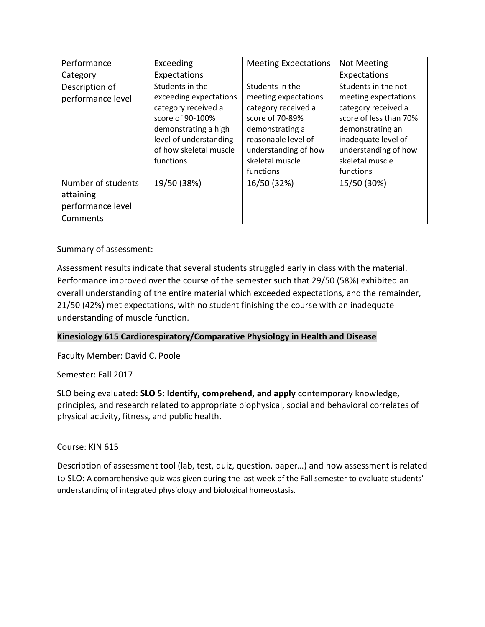| Performance        | Exceeding              | <b>Meeting Expectations</b> | <b>Not Meeting</b>     |
|--------------------|------------------------|-----------------------------|------------------------|
| Category           | Expectations           |                             | Expectations           |
| Description of     | Students in the        | Students in the             | Students in the not    |
| performance level  | exceeding expectations | meeting expectations        | meeting expectations   |
|                    | category received a    | category received a         | category received a    |
|                    | score of 90-100%       | score of 70-89%             | score of less than 70% |
|                    | demonstrating a high   | demonstrating a             | demonstrating an       |
|                    | level of understanding | reasonable level of         | inadequate level of    |
|                    | of how skeletal muscle | understanding of how        | understanding of how   |
|                    | functions              | skeletal muscle             | skeletal muscle        |
|                    |                        | functions                   | functions              |
| Number of students | 19/50 (38%)            | 16/50 (32%)                 | 15/50 (30%)            |
| attaining          |                        |                             |                        |
| performance level  |                        |                             |                        |
| Comments           |                        |                             |                        |

Summary of assessment:

Assessment results indicate that several students struggled early in class with the material. Performance improved over the course of the semester such that 29/50 (58%) exhibited an overall understanding of the entire material which exceeded expectations, and the remainder, 21/50 (42%) met expectations, with no student finishing the course with an inadequate understanding of muscle function.

## **Kinesiology 615 Cardiorespiratory/Comparative Physiology in Health and Disease**

Faculty Member: David C. Poole

Semester: Fall 2017

SLO being evaluated: **SLO 5: Identify, comprehend, and apply** contemporary knowledge, principles, and research related to appropriate biophysical, social and behavioral correlates of physical activity, fitness, and public health.

## Course: KIN 615

Description of assessment tool (lab, test, quiz, question, paper…) and how assessment is related to SLO: A comprehensive quiz was given during the last week of the Fall semester to evaluate students' understanding of integrated physiology and biological homeostasis.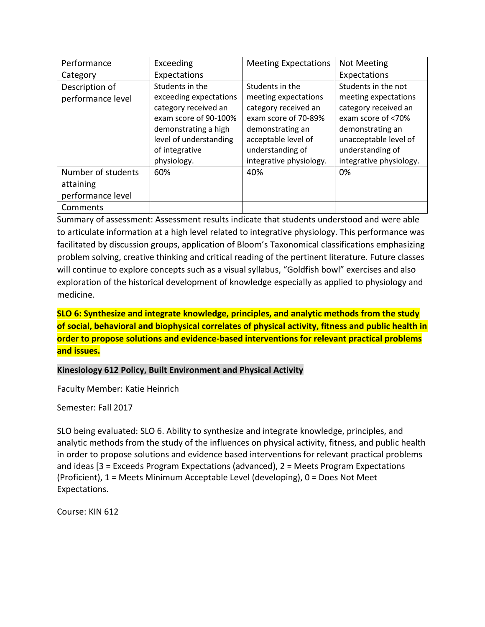| Performance        | Exceeding              | <b>Meeting Expectations</b> | <b>Not Meeting</b>      |  |  |
|--------------------|------------------------|-----------------------------|-------------------------|--|--|
| Category           | Expectations           |                             | Expectations            |  |  |
| Description of     | Students in the        | Students in the             | Students in the not     |  |  |
| performance level  | exceeding expectations | meeting expectations        | meeting expectations    |  |  |
|                    | category received an   | category received an        | category received an    |  |  |
|                    | exam score of 90-100%  | exam score of 70-89%        | exam score of <70%      |  |  |
|                    | demonstrating a high   | demonstrating an            | demonstrating an        |  |  |
|                    | level of understanding | acceptable level of         | unacceptable level of   |  |  |
|                    | of integrative         | understanding of            | understanding of        |  |  |
|                    | physiology.            | integrative physiology.     | integrative physiology. |  |  |
| Number of students | 60%                    | 40%                         | 0%                      |  |  |
| attaining          |                        |                             |                         |  |  |
| performance level  |                        |                             |                         |  |  |
| Comments           |                        |                             |                         |  |  |

Summary of assessment: Assessment results indicate that students understood and were able to articulate information at a high level related to integrative physiology. This performance was facilitated by discussion groups, application of Bloom's Taxonomical classifications emphasizing problem solving, creative thinking and critical reading of the pertinent literature. Future classes will continue to explore concepts such as a visual syllabus, "Goldfish bowl" exercises and also exploration of the historical development of knowledge especially as applied to physiology and medicine.

## **SLO 6: Synthesize and integrate knowledge, principles, and analytic methods from the study of social, behavioral and biophysical correlates of physical activity, fitness and public health in order to propose solutions and evidence-based interventions for relevant practical problems and issues.**

## **Kinesiology 612 Policy, Built Environment and Physical Activity**

Faculty Member: Katie Heinrich

Semester: Fall 2017

SLO being evaluated: SLO 6. Ability to synthesize and integrate knowledge, principles, and analytic methods from the study of the influences on physical activity, fitness, and public health in order to propose solutions and evidence based interventions for relevant practical problems and ideas [3 = Exceeds Program Expectations (advanced), 2 = Meets Program Expectations (Proficient), 1 = Meets Minimum Acceptable Level (developing), 0 = Does Not Meet Expectations.

Course: KIN 612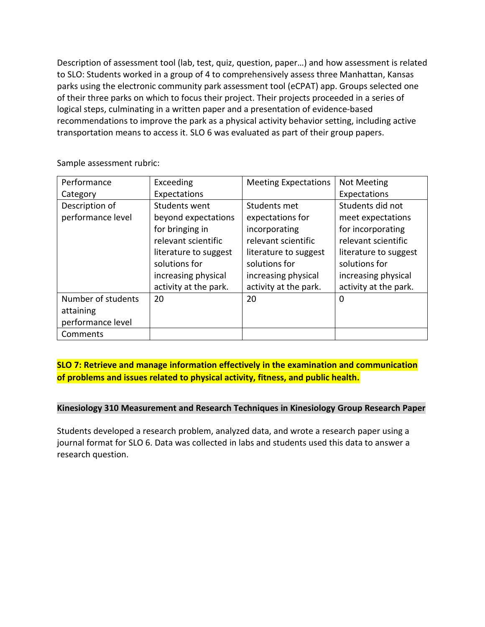Description of assessment tool (lab, test, quiz, question, paper…) and how assessment is related to SLO: Students worked in a group of 4 to comprehensively assess three Manhattan, Kansas parks using the electronic community park assessment tool (eCPAT) app. Groups selected one of their three parks on which to focus their project. Their projects proceeded in a series of logical steps, culminating in a written paper and a presentation of evidence‐based recommendations to improve the park as a physical activity behavior setting, including active transportation means to access it. SLO 6 was evaluated as part of their group papers.

| Performance        | Exceeding             | <b>Meeting Expectations</b> | <b>Not Meeting</b>    |
|--------------------|-----------------------|-----------------------------|-----------------------|
| Category           | Expectations          |                             | Expectations          |
| Description of     | Students went         | Students met                | Students did not      |
| performance level  | beyond expectations   | expectations for            | meet expectations     |
|                    | for bringing in       | incorporating               | for incorporating     |
|                    | relevant scientific   | relevant scientific         | relevant scientific   |
|                    | literature to suggest | literature to suggest       | literature to suggest |
|                    | solutions for         | solutions for               | solutions for         |
|                    | increasing physical   | increasing physical         | increasing physical   |
|                    | activity at the park. | activity at the park.       | activity at the park. |
| Number of students | 20                    | 20                          | 0                     |
| attaining          |                       |                             |                       |
| performance level  |                       |                             |                       |
| Comments           |                       |                             |                       |

Sample assessment rubric:

## **SLO 7: Retrieve and manage information effectively in the examination and communication of problems and issues related to physical activity, fitness, and public health.**

### **Kinesiology 310 Measurement and Research Techniques in Kinesiology Group Research Paper**

Students developed a research problem, analyzed data, and wrote a research paper using a journal format for SLO 6. Data was collected in labs and students used this data to answer a research question.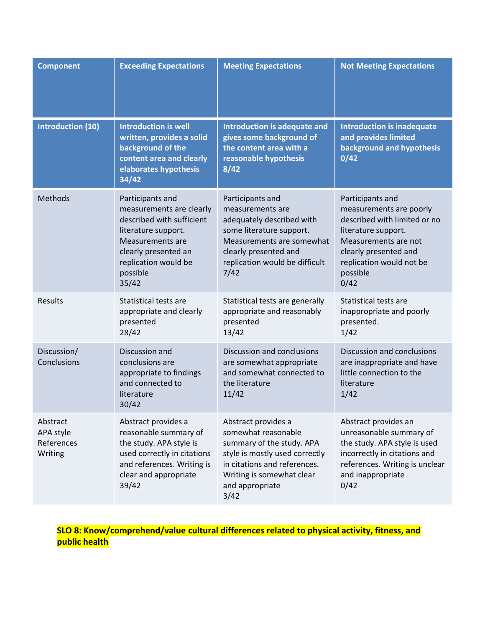| <b>Component</b>                               | <b>Exceeding Expectations</b>                                                                                                                                                             | <b>Meeting Expectations</b>                                                                                                                                                                       | <b>Not Meeting Expectations</b>                                                                                                                                                                     |
|------------------------------------------------|-------------------------------------------------------------------------------------------------------------------------------------------------------------------------------------------|---------------------------------------------------------------------------------------------------------------------------------------------------------------------------------------------------|-----------------------------------------------------------------------------------------------------------------------------------------------------------------------------------------------------|
| <b>Introduction (10)</b>                       | <b>Introduction is well</b><br>written, provides a solid<br>background of the<br>content area and clearly<br>elaborates hypothesis<br>34/42                                               | Introduction is adequate and<br>gives some background of<br>the content area with a<br>reasonable hypothesis<br>8/42                                                                              | <b>Introduction is inadequate</b><br>and provides limited<br>background and hypothesis<br>0/42                                                                                                      |
| Methods                                        | Participants and<br>measurements are clearly<br>described with sufficient<br>literature support.<br>Measurements are<br>clearly presented an<br>replication would be<br>possible<br>35/42 | Participants and<br>measurements are<br>adequately described with<br>some literature support.<br>Measurements are somewhat<br>clearly presented and<br>replication would be difficult<br>7/42     | Participants and<br>measurements are poorly<br>described with limited or no<br>literature support.<br>Measurements are not<br>clearly presented and<br>replication would not be<br>possible<br>0/42 |
| <b>Results</b>                                 | Statistical tests are<br>appropriate and clearly<br>presented<br>28/42                                                                                                                    | Statistical tests are generally<br>appropriate and reasonably<br>presented<br>13/42                                                                                                               | Statistical tests are<br>inappropriate and poorly<br>presented.<br>1/42                                                                                                                             |
| Discussion/<br>Conclusions                     | Discussion and<br>conclusions are<br>appropriate to findings<br>and connected to<br>literature<br>30/42                                                                                   | Discussion and conclusions<br>are somewhat appropriate<br>and somewhat connected to<br>the literature<br>11/42                                                                                    | Discussion and conclusions<br>are inappropriate and have<br>little connection to the<br>literature<br>1/42                                                                                          |
| Abstract<br>APA style<br>References<br>Writing | Abstract provides a<br>reasonable summary of<br>the study. APA style is<br>used correctly in citations<br>and references. Writing is<br>clear and appropriate<br>39/42                    | Abstract provides a<br>somewhat reasonable<br>summary of the study. APA<br>style is mostly used correctly<br>in citations and references.<br>Writing is somewhat clear<br>and appropriate<br>3/42 | Abstract provides an<br>unreasonable summary of<br>the study. APA style is used<br>incorrectly in citations and<br>references. Writing is unclear<br>and inappropriate<br>0/42                      |

**SLO 8: Know/comprehend/value cultural differences related to physical activity, fitness, and public health**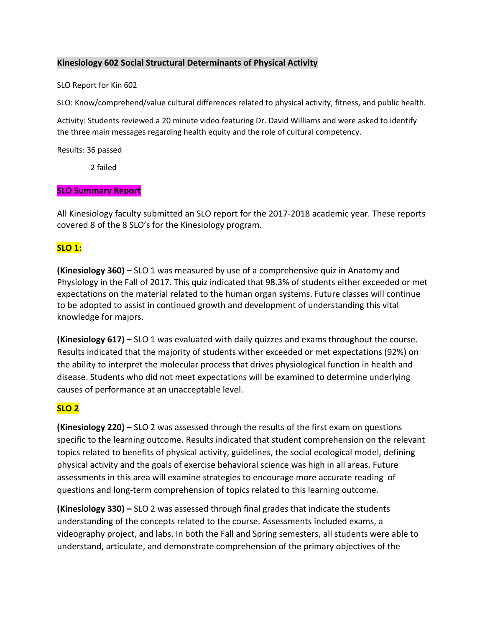### **Kinesiology 602 Social Structural Determinants of Physical Activity**

#### SLO Report for Kin 602

SLO: Know/comprehend/value cultural differences related to physical activity, fitness, and public health.

Activity: Students reviewed a 20 minute video featuring Dr. David Williams and were asked to identify the three main messages regarding health equity and the role of cultural competency.

Results: 36 passed

2 failed

### **SLO Summary Report**

All Kinesiology faculty submitted an SLO report for the 2017-2018 academic year. These reports covered 8 of the 8 SLO's for the Kinesiology program.

## **SLO 1:**

**(Kinesiology 360) –** SLO 1 was measured by use of a comprehensive quiz in Anatomy and Physiology in the Fall of 2017. This quiz indicated that 98.3% of students either exceeded or met expectations on the material related to the human organ systems. Future classes will continue to be adopted to assist in continued growth and development of understanding this vital knowledge for majors.

**(Kinesiology 617) –** SLO 1 was evaluated with daily quizzes and exams throughout the course. Results indicated that the majority of students wither exceeded or met expectations (92%) on the ability to interpret the molecular process that drives physiological function in health and disease. Students who did not meet expectations will be examined to determine underlying causes of performance at an unacceptable level.

## **SLO 2**

**(Kinesiology 220) –** SLO 2 was assessed through the results of the first exam on questions specific to the learning outcome. Results indicated that student comprehension on the relevant topics related to benefits of physical activity, guidelines, the social ecological model, defining physical activity and the goals of exercise behavioral science was high in all areas. Future assessments in this area will examine strategies to encourage more accurate reading of questions and long-term comprehension of topics related to this learning outcome.

**(Kinesiology 330) –** SLO 2 was assessed through final grades that indicate the students understanding of the concepts related to the course. Assessments included exams, a videography project, and labs. In both the Fall and Spring semesters, all students were able to understand, articulate, and demonstrate comprehension of the primary objectives of the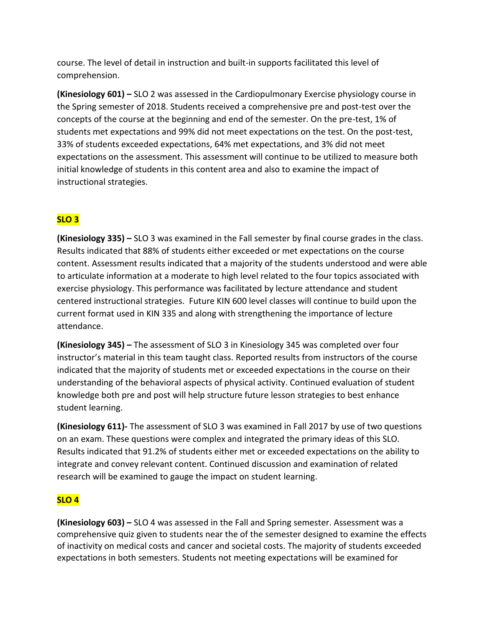course. The level of detail in instruction and built-in supports facilitated this level of comprehension.

**(Kinesiology 601) –** SLO 2 was assessed in the Cardiopulmonary Exercise physiology course in the Spring semester of 2018. Students received a comprehensive pre and post-test over the concepts of the course at the beginning and end of the semester. On the pre-test, 1% of students met expectations and 99% did not meet expectations on the test. On the post-test, 33% of students exceeded expectations, 64% met expectations, and 3% did not meet expectations on the assessment. This assessment will continue to be utilized to measure both initial knowledge of students in this content area and also to examine the impact of instructional strategies.

# **SLO 3**

**(Kinesiology 335) –** SLO 3 was examined in the Fall semester by final course grades in the class. Results indicated that 88% of students either exceeded or met expectations on the course content. Assessment results indicated that a majority of the students understood and were able to articulate information at a moderate to high level related to the four topics associated with exercise physiology. This performance was facilitated by lecture attendance and student centered instructional strategies. Future KIN 600 level classes will continue to build upon the current format used in KIN 335 and along with strengthening the importance of lecture attendance.

**(Kinesiology 345) –** The assessment of SLO 3 in Kinesiology 345 was completed over four instructor's material in this team taught class. Reported results from instructors of the course indicated that the majority of students met or exceeded expectations in the course on their understanding of the behavioral aspects of physical activity. Continued evaluation of student knowledge both pre and post will help structure future lesson strategies to best enhance student learning.

**(Kinesiology 611)-** The assessment of SLO 3 was examined in Fall 2017 by use of two questions on an exam. These questions were complex and integrated the primary ideas of this SLO. Results indicated that 91.2% of students either met or exceeded expectations on the ability to integrate and convey relevant content. Continued discussion and examination of related research will be examined to gauge the impact on student learning.

# **SLO 4**

**(Kinesiology 603) –** SLO 4 was assessed in the Fall and Spring semester. Assessment was a comprehensive quiz given to students near the of the semester designed to examine the effects of inactivity on medical costs and cancer and societal costs. The majority of students exceeded expectations in both semesters. Students not meeting expectations will be examined for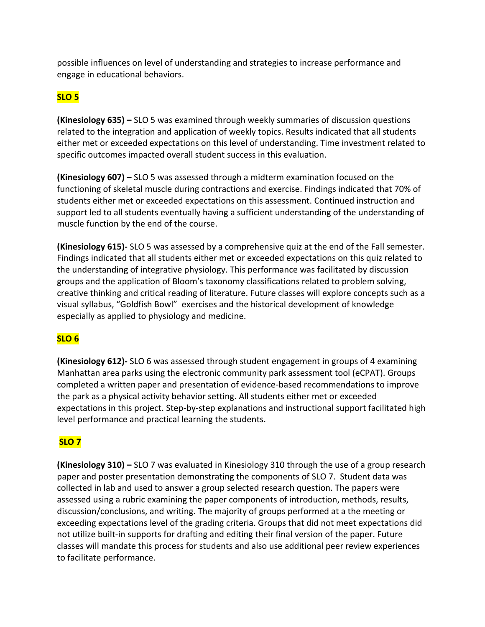possible influences on level of understanding and strategies to increase performance and engage in educational behaviors.

## **SLO 5**

**(Kinesiology 635) –** SLO 5 was examined through weekly summaries of discussion questions related to the integration and application of weekly topics. Results indicated that all students either met or exceeded expectations on this level of understanding. Time investment related to specific outcomes impacted overall student success in this evaluation.

**(Kinesiology 607) –** SLO 5 was assessed through a midterm examination focused on the functioning of skeletal muscle during contractions and exercise. Findings indicated that 70% of students either met or exceeded expectations on this assessment. Continued instruction and support led to all students eventually having a sufficient understanding of the understanding of muscle function by the end of the course.

**(Kinesiology 615)-** SLO 5 was assessed by a comprehensive quiz at the end of the Fall semester. Findings indicated that all students either met or exceeded expectations on this quiz related to the understanding of integrative physiology. This performance was facilitated by discussion groups and the application of Bloom's taxonomy classifications related to problem solving, creative thinking and critical reading of literature. Future classes will explore concepts such as a visual syllabus, "Goldfish Bowl" exercises and the historical development of knowledge especially as applied to physiology and medicine.

# **SLO 6**

**(Kinesiology 612)-** SLO 6 was assessed through student engagement in groups of 4 examining Manhattan area parks using the electronic community park assessment tool (eCPAT). Groups completed a written paper and presentation of evidence-based recommendations to improve the park as a physical activity behavior setting. All students either met or exceeded expectations in this project. Step-by-step explanations and instructional support facilitated high level performance and practical learning the students.

# **SLO 7**

**(Kinesiology 310) –** SLO 7 was evaluated in Kinesiology 310 through the use of a group research paper and poster presentation demonstrating the components of SLO 7. Student data was collected in lab and used to answer a group selected research question. The papers were assessed using a rubric examining the paper components of introduction, methods, results, discussion/conclusions, and writing. The majority of groups performed at a the meeting or exceeding expectations level of the grading criteria. Groups that did not meet expectations did not utilize built-in supports for drafting and editing their final version of the paper. Future classes will mandate this process for students and also use additional peer review experiences to facilitate performance.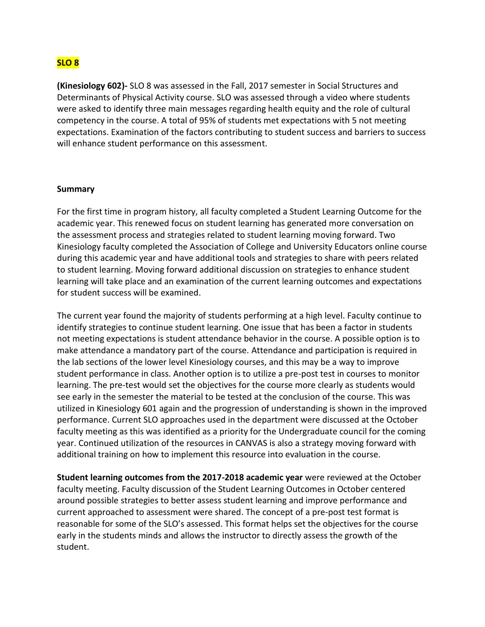## **SLO 8**

**(Kinesiology 602)-** SLO 8 was assessed in the Fall, 2017 semester in Social Structures and Determinants of Physical Activity course. SLO was assessed through a video where students were asked to identify three main messages regarding health equity and the role of cultural competency in the course. A total of 95% of students met expectations with 5 not meeting expectations. Examination of the factors contributing to student success and barriers to success will enhance student performance on this assessment.

#### **Summary**

For the first time in program history, all faculty completed a Student Learning Outcome for the academic year. This renewed focus on student learning has generated more conversation on the assessment process and strategies related to student learning moving forward. Two Kinesiology faculty completed the Association of College and University Educators online course during this academic year and have additional tools and strategies to share with peers related to student learning. Moving forward additional discussion on strategies to enhance student learning will take place and an examination of the current learning outcomes and expectations for student success will be examined.

The current year found the majority of students performing at a high level. Faculty continue to identify strategies to continue student learning. One issue that has been a factor in students not meeting expectations is student attendance behavior in the course. A possible option is to make attendance a mandatory part of the course. Attendance and participation is required in the lab sections of the lower level Kinesiology courses, and this may be a way to improve student performance in class. Another option is to utilize a pre-post test in courses to monitor learning. The pre-test would set the objectives for the course more clearly as students would see early in the semester the material to be tested at the conclusion of the course. This was utilized in Kinesiology 601 again and the progression of understanding is shown in the improved performance. Current SLO approaches used in the department were discussed at the October faculty meeting as this was identified as a priority for the Undergraduate council for the coming year. Continued utilization of the resources in CANVAS is also a strategy moving forward with additional training on how to implement this resource into evaluation in the course.

**Student learning outcomes from the 2017-2018 academic year** were reviewed at the October faculty meeting. Faculty discussion of the Student Learning Outcomes in October centered around possible strategies to better assess student learning and improve performance and current approached to assessment were shared. The concept of a pre-post test format is reasonable for some of the SLO's assessed. This format helps set the objectives for the course early in the students minds and allows the instructor to directly assess the growth of the student.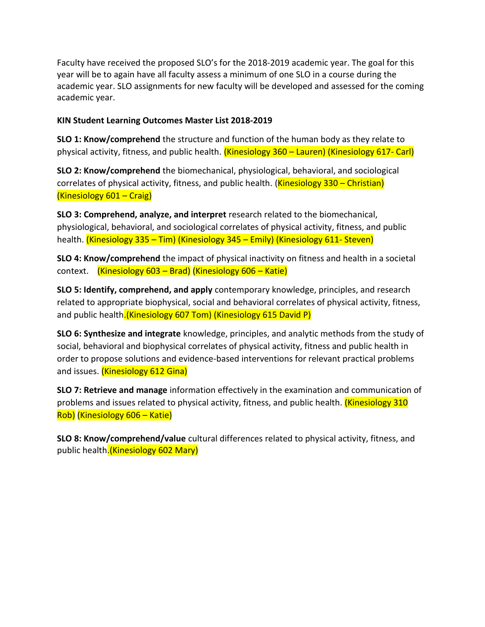Faculty have received the proposed SLO's for the 2018-2019 academic year. The goal for this year will be to again have all faculty assess a minimum of one SLO in a course during the academic year. SLO assignments for new faculty will be developed and assessed for the coming academic year.

### **KIN Student Learning Outcomes Master List 2018-2019**

**SLO 1: Know/comprehend** the structure and function of the human body as they relate to physical activity, fitness, and public health. (Kinesiology 360 – Lauren) (Kinesiology 617- Carl)

**SLO 2: Know/comprehend** the biomechanical, physiological, behavioral, and sociological correlates of physical activity, fitness, and public health. (**Kinesiology 330 – Christian**) (Kinesiology 601 – Craig)

**SLO 3: Comprehend, analyze, and interpret** research related to the biomechanical, physiological, behavioral, and sociological correlates of physical activity, fitness, and public health. (Kinesiology 335 – Tim) (Kinesiology 345 – Emily) (Kinesiology 611- Steven)

**SLO 4: Know/comprehend** the impact of physical inactivity on fitness and health in a societal context. (Kinesiology 603 – Brad) (Kinesiology 606 – Katie)

**SLO 5: Identify, comprehend, and apply** contemporary knowledge, principles, and research related to appropriate biophysical, social and behavioral correlates of physical activity, fitness, and public health. (Kinesiology 607 Tom) (Kinesiology 615 David P)

**SLO 6: Synthesize and integrate** knowledge, principles, and analytic methods from the study of social, behavioral and biophysical correlates of physical activity, fitness and public health in order to propose solutions and evidence-based interventions for relevant practical problems and issues. (Kinesiology 612 Gina)

**SLO 7: Retrieve and manage** information effectively in the examination and communication of problems and issues related to physical activity, fitness, and public health. *(Kinesiology 310*) Rob) (Kinesiology 606 – Katie)

**SLO 8: Know/comprehend/value** cultural differences related to physical activity, fitness, and public health.(Kinesiology 602 Mary)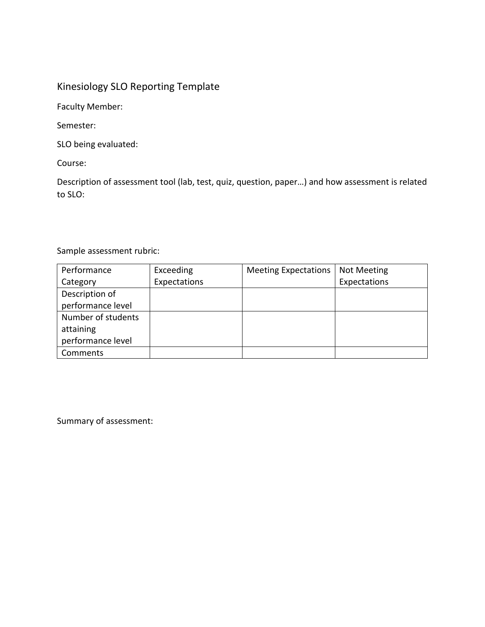# Kinesiology SLO Reporting Template

Faculty Member:

Semester:

SLO being evaluated:

Course:

Description of assessment tool (lab, test, quiz, question, paper…) and how assessment is related to SLO:

## Sample assessment rubric:

| Performance        | Exceeding    | <b>Meeting Expectations</b> | <b>Not Meeting</b> |
|--------------------|--------------|-----------------------------|--------------------|
| Category           | Expectations |                             | Expectations       |
| Description of     |              |                             |                    |
| performance level  |              |                             |                    |
| Number of students |              |                             |                    |
| attaining          |              |                             |                    |
| performance level  |              |                             |                    |
| Comments           |              |                             |                    |

Summary of assessment: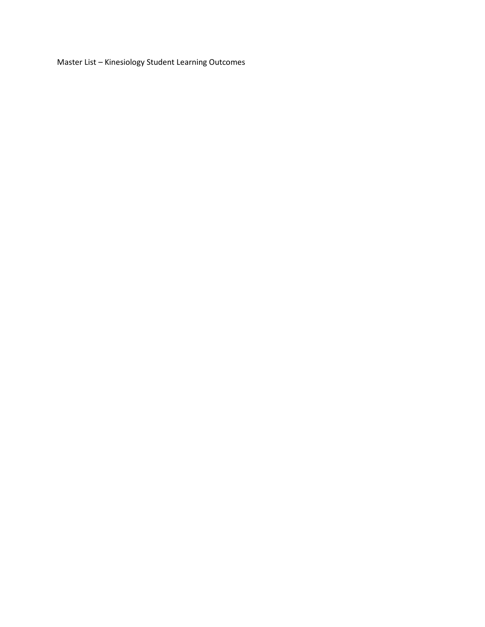Master List – Kinesiology Student Learning Outcomes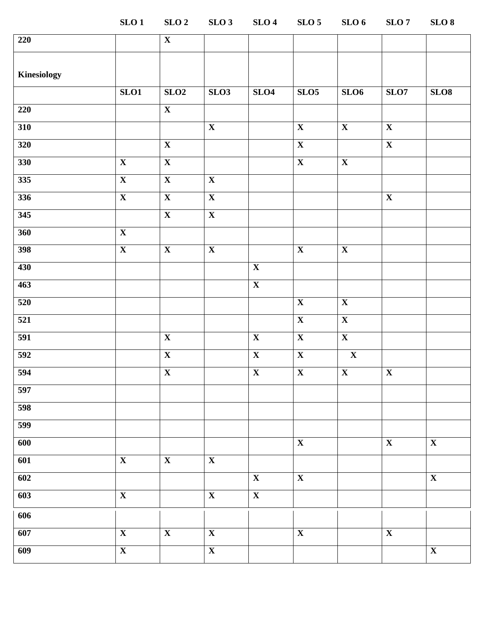**SLO 1 SLO 2 SLO 3 SLO 4 SLO 5 SLO 6 SLO 7 SLO 8**

| 220         |                         | $\overline{\mathbf{X}}$ |                         |                           |                         |                           |                         |                         |
|-------------|-------------------------|-------------------------|-------------------------|---------------------------|-------------------------|---------------------------|-------------------------|-------------------------|
| Kinesiology |                         |                         |                         |                           |                         |                           |                         |                         |
|             | SLO1                    | SLO2                    | SLO <sub>3</sub>        | SLO4                      | SLO <sub>5</sub>        | SLO <sub>6</sub>          | SLO7                    | SLO8                    |
| 220         |                         | $\overline{\mathbf{X}}$ |                         |                           |                         |                           |                         |                         |
| 310         |                         |                         | $\overline{\mathbf{X}}$ |                           | $\overline{\mathbf{X}}$ | $\boldsymbol{\mathrm{X}}$ | $\overline{\mathbf{X}}$ |                         |
| 320         |                         | $\overline{\mathbf{X}}$ |                         |                           | $\overline{\mathbf{X}}$ |                           | $\overline{\mathbf{X}}$ |                         |
| 330         | $\overline{\mathbf{X}}$ | $\overline{\mathbf{X}}$ |                         |                           | $\overline{\mathbf{X}}$ | $\overline{\mathbf{X}}$   |                         |                         |
| 335         | $\overline{\mathbf{X}}$ | $\overline{\mathbf{X}}$ | $\overline{\mathbf{X}}$ |                           |                         |                           |                         |                         |
| 336         | $\mathbf X$             | $\mathbf{X}$            | $\mathbf X$             |                           |                         |                           | $\mathbf X$             |                         |
| 345         |                         | $\mathbf X$             | $\overline{\mathbf{X}}$ |                           |                         |                           |                         |                         |
| 360         | $\overline{\mathbf{X}}$ |                         |                         |                           |                         |                           |                         |                         |
| 398         | $\overline{\mathbf{X}}$ | $\overline{\mathbf{X}}$ | $\overline{\mathbf{X}}$ |                           | $\overline{\mathbf{X}}$ | $\overline{\mathbf{X}}$   |                         |                         |
| 430         |                         |                         |                         | $\overline{\mathbf{X}}$   |                         |                           |                         |                         |
| 463         |                         |                         |                         | $\overline{\mathbf{X}}$   |                         |                           |                         |                         |
| 520         |                         |                         |                         |                           | $\overline{\mathbf{X}}$ | $\overline{\mathbf{X}}$   |                         |                         |
| 521         |                         |                         |                         |                           | $\overline{\mathbf{X}}$ | $\mathbf X$               |                         |                         |
| 591         |                         | $\overline{\mathbf{X}}$ |                         | $\overline{\mathbf{X}}$   | $\overline{\mathbf{X}}$ | $\overline{\mathbf{X}}$   |                         |                         |
| 592         |                         | $\overline{\mathbf{X}}$ |                         | $\overline{\mathbf{X}}$   | $\overline{\mathbf{X}}$ | $\overline{\mathbf{X}}$   |                         |                         |
| 594         |                         | $\overline{\mathbf{X}}$ |                         | $\overline{\mathbf{X}}$   | $\overline{\mathbf{X}}$ | $\mathbf X$               | $\overline{\mathbf{X}}$ |                         |
| 597         |                         |                         |                         |                           |                         |                           |                         |                         |
| 598         |                         |                         |                         |                           |                         |                           |                         |                         |
| 599         |                         |                         |                         |                           |                         |                           |                         |                         |
| 600         |                         |                         |                         |                           | $\overline{\mathbf{X}}$ |                           | $\overline{\mathbf{X}}$ | $\overline{\mathbf{X}}$ |
| 601         | $\overline{\mathbf{X}}$ | $\overline{\mathbf{X}}$ | $\overline{\mathbf{X}}$ |                           |                         |                           |                         |                         |
| 602         |                         |                         |                         | $\boldsymbol{\mathrm{X}}$ | $\overline{\mathbf{X}}$ |                           |                         | $\mathbf X$             |
| 603         | $\mathbf X$             |                         | $\mathbf X$             | $\overline{\mathbf{X}}$   |                         |                           |                         |                         |
| 606         |                         |                         |                         |                           |                         |                           |                         |                         |
| 607         | $\overline{\mathbf{X}}$ | $\overline{\mathbf{X}}$ | $\overline{\mathbf{X}}$ |                           | $\overline{\mathbf{X}}$ |                           | $\overline{\mathbf{X}}$ |                         |
| 609         | $\overline{\mathbf{X}}$ |                         | $\overline{\mathbf{X}}$ |                           |                         |                           |                         | $\overline{\mathbf{X}}$ |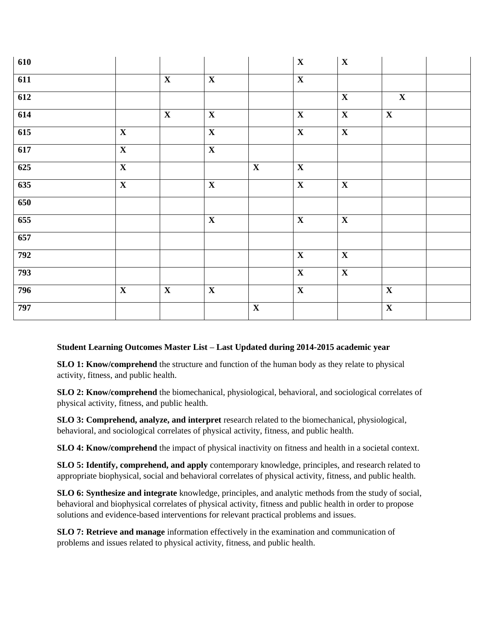| 610 |                         |                         |                         |                         | $\mathbf X$             | $\mathbf X$             |                         |  |
|-----|-------------------------|-------------------------|-------------------------|-------------------------|-------------------------|-------------------------|-------------------------|--|
| 611 |                         | $\mathbf X$             | $\mathbf X$             |                         | $\overline{\mathbf{X}}$ |                         |                         |  |
| 612 |                         |                         |                         |                         |                         | $\overline{\mathbf{X}}$ | $\overline{\mathbf{X}}$ |  |
| 614 |                         | $\overline{\mathbf{X}}$ | $\overline{\mathbf{X}}$ |                         | $\overline{\mathbf{X}}$ | $\overline{\mathbf{X}}$ | $\overline{\mathbf{X}}$ |  |
| 615 | $\overline{\mathbf{X}}$ |                         | $\overline{\mathbf{X}}$ |                         | $\overline{\mathbf{X}}$ | $\overline{\mathbf{X}}$ |                         |  |
| 617 | $\overline{\mathbf{X}}$ |                         | $\overline{\mathbf{X}}$ |                         |                         |                         |                         |  |
| 625 | $\overline{\mathbf{X}}$ |                         |                         | $\overline{\mathbf{X}}$ | $\overline{\mathbf{X}}$ |                         |                         |  |
| 635 | $\overline{\mathbf{X}}$ |                         | $\overline{\mathbf{X}}$ |                         | $\overline{\mathbf{X}}$ | $\mathbf X$             |                         |  |
| 650 |                         |                         |                         |                         |                         |                         |                         |  |
| 655 |                         |                         | $\overline{\mathbf{X}}$ |                         | $\mathbf{X}$            | $\overline{\mathbf{X}}$ |                         |  |
| 657 |                         |                         |                         |                         |                         |                         |                         |  |
| 792 |                         |                         |                         |                         | $\mathbf X$             | $\mathbf X$             |                         |  |
| 793 |                         |                         |                         |                         | $\mathbf X$             | $\overline{\mathbf{X}}$ |                         |  |
| 796 | $\overline{\mathbf{X}}$ | $\overline{\mathbf{X}}$ | $\overline{\mathbf{X}}$ |                         | $\overline{\mathbf{X}}$ |                         | $\overline{\mathbf{X}}$ |  |
| 797 |                         |                         |                         | $\overline{\mathbf{X}}$ |                         |                         | $\overline{\mathbf{X}}$ |  |

## **Student Learning Outcomes Master List – Last Updated during 2014-2015 academic year**

**SLO 1: Know/comprehend** the structure and function of the human body as they relate to physical activity, fitness, and public health.

**SLO 2: Know/comprehend** the biomechanical, physiological, behavioral, and sociological correlates of physical activity, fitness, and public health.

**SLO 3: Comprehend, analyze, and interpret** research related to the biomechanical, physiological, behavioral, and sociological correlates of physical activity, fitness, and public health.

**SLO 4: Know/comprehend** the impact of physical inactivity on fitness and health in a societal context.

**SLO 5: Identify, comprehend, and apply** contemporary knowledge, principles, and research related to appropriate biophysical, social and behavioral correlates of physical activity, fitness, and public health.

**SLO 6: Synthesize and integrate** knowledge, principles, and analytic methods from the study of social, behavioral and biophysical correlates of physical activity, fitness and public health in order to propose solutions and evidence-based interventions for relevant practical problems and issues.

**SLO 7: Retrieve and manage** information effectively in the examination and communication of problems and issues related to physical activity, fitness, and public health.